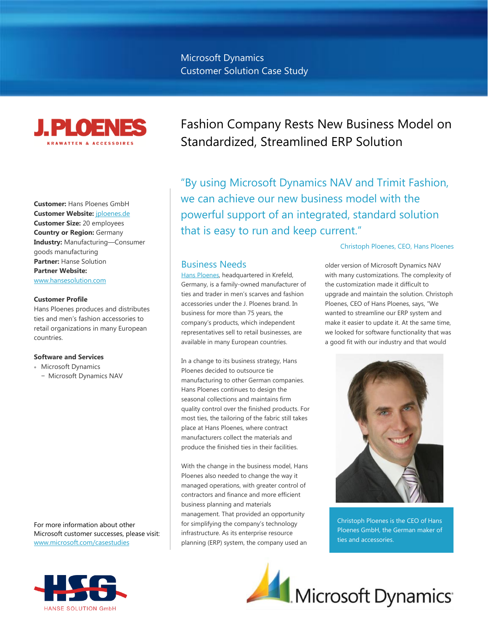

**Customer:** Hans Ploenes GmbH **Customer Website:** [jploenes.de](http://jploenes.de/) **Customer Size:** 20 employees **Country or Region:** Germany **Industry:** Manufacturing—Consumer goods manufacturing **Partner:** Hanse Solution **Partner Website:** [www.hansesolution.com](http://www.hansesolution.com/)

#### **Customer Profile**

Hans Ploenes produces and distributes ties and men's fashion accessories to retail organizations in many European countries.

#### **Software and Services**

- Microsoft Dynamics
	- − Microsoft Dynamics NAV

For more information about other Microsoft customer successes, please visit: [www.microsoft.com/casestudies](http://www.microsoft.com/casestudies)

# Fashion Company Rests New Business Model on Standardized, Streamlined ERP Solution

"By using Microsoft Dynamics NAV and Trimit Fashion, we can achieve our new business model with the powerful support of an integrated, standard solution that is easy to run and keep current."

## Business Needs

Hans [Ploenes,](http://jploenes.de/) headquartered in Krefeld, Germany, is a family-owned manufacturer of ties and trader in men's scarves and fashion accessories under the J. Ploenes brand. In business for more than 75 years, the company's products, which independent representatives sell to retail businesses, are available in many European countries.

In a change to its business strategy, Hans Ploenes decided to outsource tie manufacturing to other German companies. Hans Ploenes continues to design the seasonal collections and maintains firm quality control over the finished products. For most ties, the tailoring of the fabric still takes place at Hans Ploenes, where contract manufacturers collect the materials and produce the finished ties in their facilities.

With the change in the business model, Hans Ploenes also needed to change the way it managed operations, with greater control of contractors and finance and more efficient business planning and materials management. That provided an opportunity for simplifying the company's technology infrastructure. As its enterprise resource planning (ERP) system, the company used an

## Christoph Ploenes, CEO, Hans Ploenes

older version of Microsoft Dynamics NAV with many customizations. The complexity of the customization made it difficult to upgrade and maintain the solution. Christoph Ploenes, CEO of Hans Ploenes, says, "We wanted to streamline our ERP system and make it easier to update it. At the same time, we looked for software functionality that was a good fit with our industry and that would



Christoph Ploenes is the CEO of Hans Ploenes GmbH, the German maker of ties and accessories.